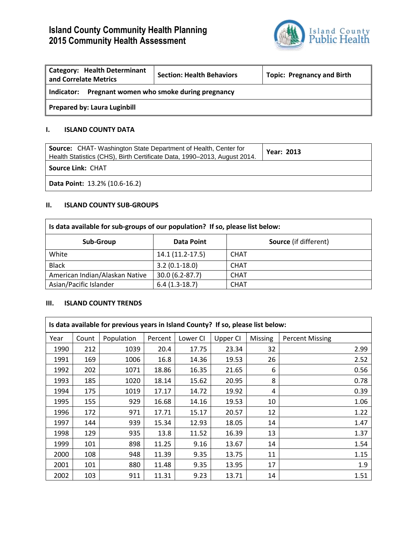# **Island County Community Health Planning 2015 Community Health Assessment**



| <b>Category: Health Determinant</b><br>and Correlate Metrics | <b>Section: Health Behaviors</b> | <b>Topic: Pregnancy and Birth</b> |  |  |  |
|--------------------------------------------------------------|----------------------------------|-----------------------------------|--|--|--|
| Pregnant women who smoke during pregnancy<br>Indicator:      |                                  |                                   |  |  |  |
| <b>Prepared by: Laura Luginbill</b>                          |                                  |                                   |  |  |  |

## **I. ISLAND COUNTY DATA**

| <b>Source:</b> CHAT-Washington State Department of Health, Center for<br>Health Statistics (CHS), Birth Certificate Data, 1990-2013, August 2014. | <b>Year: 2013</b> |  |  |  |
|---------------------------------------------------------------------------------------------------------------------------------------------------|-------------------|--|--|--|
| <b>Source Link: CHAT</b>                                                                                                                          |                   |  |  |  |
| <b>Data Point: 13.2% (10.6-16.2)</b>                                                                                                              |                   |  |  |  |

### **II. ISLAND COUNTY SUB-GROUPS**

| Is data available for sub-groups of our population? If so, please list below: |                    |                              |  |  |  |  |
|-------------------------------------------------------------------------------|--------------------|------------------------------|--|--|--|--|
| Sub-Group                                                                     | <b>Data Point</b>  | <b>Source</b> (if different) |  |  |  |  |
| White                                                                         | 14.1 (11.2-17.5)   | <b>CHAT</b>                  |  |  |  |  |
| <b>Black</b>                                                                  | $3.2(0.1-18.0)$    | <b>CHAT</b>                  |  |  |  |  |
| American Indian/Alaskan Native                                                | $30.0(6.2 - 87.7)$ | <b>CHAT</b>                  |  |  |  |  |
| Asian/Pacific Islander                                                        | $6.4(1.3-18.7)$    | <b>CHAT</b>                  |  |  |  |  |

# **III. ISLAND COUNTY TRENDS**

| Is data available for previous years in Island County? If so, please list below: |       |            |         |          |          |                |                        |
|----------------------------------------------------------------------------------|-------|------------|---------|----------|----------|----------------|------------------------|
| Year                                                                             | Count | Population | Percent | Lower CI | Upper CI | <b>Missing</b> | <b>Percent Missing</b> |
| 1990                                                                             | 212   | 1039       | 20.4    | 17.75    | 23.34    | 32             | 2.99                   |
| 1991                                                                             | 169   | 1006       | 16.8    | 14.36    | 19.53    | 26             | 2.52                   |
| 1992                                                                             | 202   | 1071       | 18.86   | 16.35    | 21.65    | 6              | 0.56                   |
| 1993                                                                             | 185   | 1020       | 18.14   | 15.62    | 20.95    | 8              | 0.78                   |
| 1994                                                                             | 175   | 1019       | 17.17   | 14.72    | 19.92    | 4              | 0.39                   |
| 1995                                                                             | 155   | 929        | 16.68   | 14.16    | 19.53    | 10             | 1.06                   |
| 1996                                                                             | 172   | 971        | 17.71   | 15.17    | 20.57    | 12             | 1.22                   |
| 1997                                                                             | 144   | 939        | 15.34   | 12.93    | 18.05    | 14             | 1.47                   |
| 1998                                                                             | 129   | 935        | 13.8    | 11.52    | 16.39    | 13             | 1.37                   |
| 1999                                                                             | 101   | 898        | 11.25   | 9.16     | 13.67    | 14             | 1.54                   |
| 2000                                                                             | 108   | 948        | 11.39   | 9.35     | 13.75    | 11             | 1.15                   |
| 2001                                                                             | 101   | 880        | 11.48   | 9.35     | 13.95    | 17             | 1.9                    |
| 2002                                                                             | 103   | 911        | 11.31   | 9.23     | 13.71    | 14             | 1.51                   |